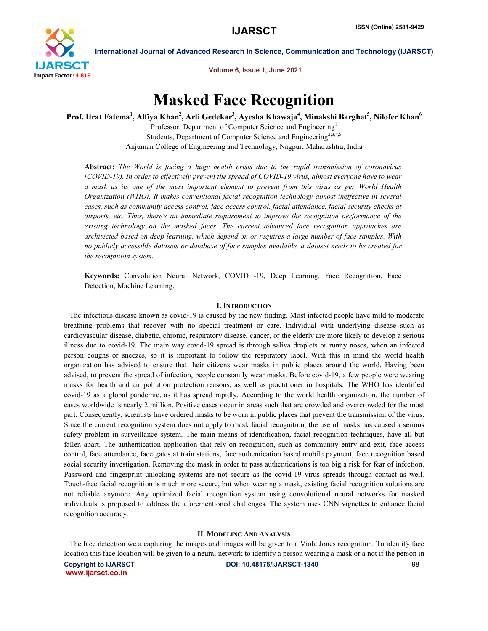

Volume 6, Issue 1, June 2021

# Masked Face Recognition

Prof. Itrat Fatema<sup>1</sup>, Alfiya Khan<sup>2</sup>, Arti Gedekar<sup>3</sup>, Ayesha Khawaja<sup>4</sup>, Minakshi Barghat<sup>5</sup>, Nilofer Khan<sup>6</sup> Professor, Department of Computer Science and Engineering<sup>1</sup> Students, Department of Computer Science and Engineering<sup>2,3,4,5</sup> Anjuman College of Engineering and Technology, Nagpur, Maharashtra, India

Abstract: *The World is facing a huge health crisis due to the rapid transmission of coronavirus (COVID-19). In order to effectively prevent the spread of COVID-19 virus, almost everyone have to wear a mask as its one of the most important element to prevent from this virus as per World Health Organization (WHO). It makes conventional facial recognition technology almost ineffective in several cases, such as community access control, face access control, facial attendance, facial security checks at airports, etc. Thus, there's an immediate requirement to improve the recognition performance of the existing technology on the masked faces. The current advanced face recognition approaches are architected based on deep learning, which depend on or requires a large number of face samples. With no publicly accessible datasets or database of face samples available, a dataset needs to be created for the recognition system.*

Keywords: Convolution Neural Network, COVID -19, Deep Learning, Face Recognition, Face Detection, Machine Learning.

### I. INTRODUCTION

 The infectious disease known as covid-19 is caused by the new finding. Most infected people have mild to moderate breathing problems that recover with no special treatment or care. Individual with underlying disease such as cardiovascular disease, diabetic, chronic, respiratory disease, cancer, or the elderly are more likely to develop a serious illness due to covid-19. The main way covid-19 spread is through saliva droplets or runny noses, when an infected person coughs or sneezes, so it is important to follow the respiratory label. With this in mind the world health organization has advised to ensure that their citizens wear masks in public places around the world. Having been advised, to prevent the spread of infection, people constantly wear masks. Before covid-19, a few people were wearing masks for health and air pollution protection reasons, as well as practitioner in hospitals. The WHO has identified covid-19 as a global pandemic, as it has spread rapidly. According to the world health organization, the number of cases worldwide is nearly 2 million. Positive cases occur in areas such that are crowded and overcrowded for the most part. Consequently, scientists have ordered masks to be worn in public places that prevent the transmission of the virus. Since the current recognition system does not apply to mask facial recognition, the use of masks has caused a serious safety problem in surveillance system. The main means of identification, facial recognition techniques, have all but fallen apart. The authentication application that rely on recognition, such as community entry and exit, face access control, face attendance, face gates at train stations, face authentication based mobile payment, face recognition based social security investigation. Removing the mask in order to pass authentications is too big a risk for fear of infection. Password and fingerprint unlocking systems are not secure as the covid-19 virus spreads through contact as well. Touch-free facial recognition is much more secure, but when wearing a mask, existing facial recognition solutions are not reliable anymore. Any optimized facial recognition system using convolutional neural networks for masked individuals is proposed to address the aforementioned challenges. The system uses CNN vignettes to enhance facial recognition accuracy.

## II. MODELING AND ANALYSIS

 The face detection we a capturing the images and images will be given to a Viola Jones recognition. To identify face location this face location will be given to a neural network to identify a person wearing a mask or a not if the person in

www.ijarsct.co.in

Copyright to IJARSCT **DOI: 10.48175/IJARSCT-1340** 98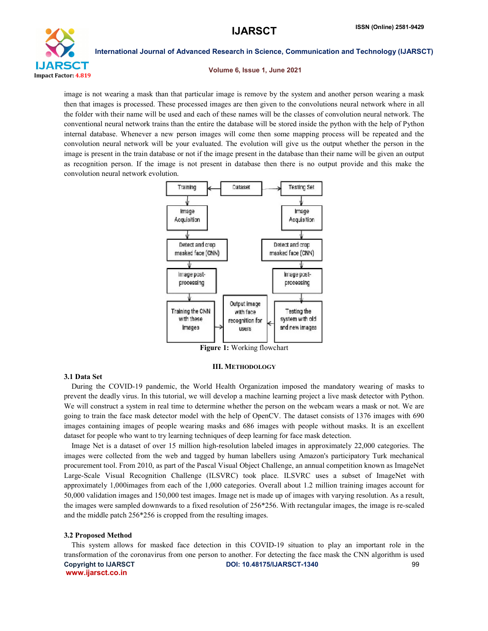

#### Volume 6, Issue 1, June 2021

image is not wearing a mask than that particular image is remove by the system and another person wearing a mask then that images is processed. These processed images are then given to the convolutions neural network where in all the folder with their name will be used and each of these names will be the classes of convolution neural network. The conventional neural network trains than the entire the database will be stored inside the python with the help of Python internal database. Whenever a new person images will come then some mapping process will be repeated and the convolution neural network will be your evaluated. The evolution will give us the output whether the person in the image is present in the train database or not if the image present in the database than their name will be given an output as recognition person. If the image is not present in database then there is no output provide and this make the convolution neural network evolution.



Figure 1: Working flowchart

# III. METHODOLOGY

## 3.1 Data Set

 During the COVID-19 pandemic, the World Health Organization imposed the mandatory wearing of masks to prevent the deadly virus. In this tutorial, we will develop a machine learning project a live mask detector with Python. We will construct a system in real time to determine whether the person on the webcam wears a mask or not. We are going to train the face mask detector model with the help of OpenCV. The dataset consists of 1376 images with 690 images containing images of people wearing masks and 686 images with people without masks. It is an excellent dataset for people who want to try learning techniques of deep learning for face mask detection.

 Image Net is a dataset of over 15 million high-resolution labeled images in approximately 22,000 categories. The images were collected from the web and tagged by human labellers using Amazon's participatory Turk mechanical procurement tool. From 2010, as part of the Pascal Visual Object Challenge, an annual competition known as ImageNet Large-Scale Visual Recognition Challenge (ILSVRC) took place. ILSVRC uses a subset of ImageNet with approximately 1,000images from each of the 1,000 categories. Overall about 1.2 million training images account for 50,000 validation images and 150,000 test images. Image net is made up of images with varying resolution. As a result, the images were sampled downwards to a fixed resolution of 256\*256. With rectangular images, the image is re-scaled and the middle patch 256\*256 is cropped from the resulting images.

### 3.2 Proposed Method

Copyright to IJARSCT **DOI: 10.48175/IJARSCT-1340** 99 www.ijarsct.co.in This system allows for masked face detection in this COVID-19 situation to play an important role in the transformation of the coronavirus from one person to another. For detecting the face mask the CNN algorithm is used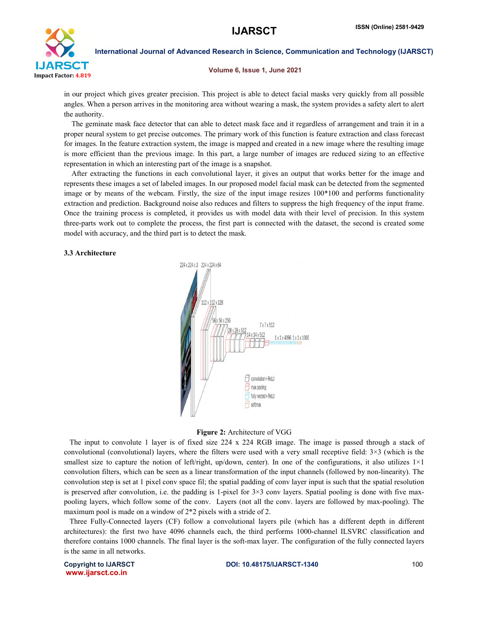

Volume 6, Issue 1, June 2021

in our project which gives greater precision. This project is able to detect facial masks very quickly from all possible angles. When a person arrives in the monitoring area without wearing a mask, the system provides a safety alert to alert the authority.

 The geminate mask face detector that can able to detect mask face and it regardless of arrangement and train it in a proper neural system to get precise outcomes. The primary work of this function is feature extraction and class forecast for images. In the feature extraction system, the image is mapped and created in a new image where the resulting image is more efficient than the previous image. In this part, a large number of images are reduced sizing to an effective representation in which an interesting part of the image is a snapshot.

 After extracting the functions in each convolutional layer, it gives an output that works better for the image and represents these images a set of labeled images. In our proposed model facial mask can be detected from the segmented image or by means of the webcam. Firstly, the size of the input image resizes 100\*100 and performs functionality extraction and prediction. Background noise also reduces and filters to suppress the high frequency of the input frame. Once the training process is completed, it provides us with model data with their level of precision. In this system three-parts work out to complete the process, the first part is connected with the dataset, the second is created some model with accuracy, and the third part is to detect the mask.

# 3.3 Architecture



# Figure 2: Architecture of VGG

 The input to convolute 1 layer is of fixed size 224 x 224 RGB image. The image is passed through a stack of convolutional (convolutional) layers, where the filters were used with a very small receptive field: 3×3 (which is the smallest size to capture the notion of left/right, up/down, center). In one of the configurations, it also utilizes  $1\times1$ convolution filters, which can be seen as a linear transformation of the input channels (followed by non-linearity). The convolution step is set at 1 pixel conv space fil; the spatial padding of conv layer input is such that the spatial resolution is preserved after convolution, i.e. the padding is 1-pixel for  $3\times3$  conv layers. Spatial pooling is done with five maxpooling layers, which follow some of the conv. Layers (not all the conv. layers are followed by max-pooling). The maximum pool is made on a window of 2\*2 pixels with a stride of 2.

 Three Fully-Connected layers (CF) follow a convolutional layers pile (which has a different depth in different architectures): the first two have 4096 channels each, the third performs 1000-channel ILSVRC classification and therefore contains 1000 channels. The final layer is the soft-max layer. The configuration of the fully connected layers is the same in all networks.

www.ijarsct.co.in

Copyright to IJARSCT **DOI: 10.48175/IJARSCT-1340** 100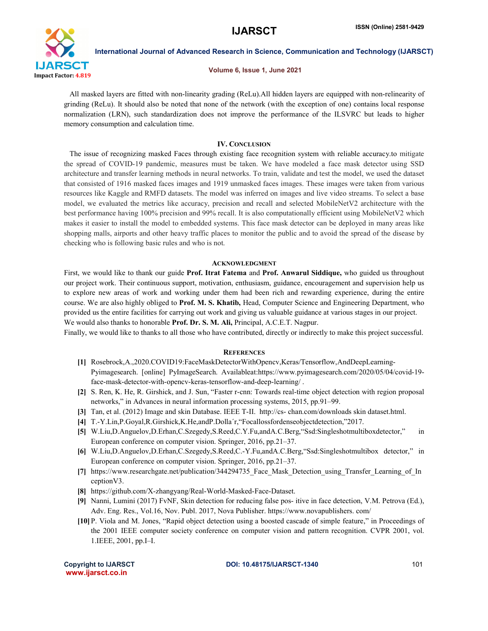

### Volume 6, Issue 1, June 2021

 All masked layers are fitted with non-linearity grading (ReLu).All hidden layers are equipped with non-relinearity of grinding (ReLu). It should also be noted that none of the network (with the exception of one) contains local response normalization (LRN), such standardization does not improve the performance of the ILSVRC but leads to higher memory consumption and calculation time.

# IV. CONCLUSION

 The issue of recognizing masked Faces through existing face recognition system with reliable accuracy.to mitigate the spread of COVID-19 pandemic, measures must be taken. We have modeled a face mask detector using SSD architecture and transfer learning methods in neural networks. To train, validate and test the model, we used the dataset that consisted of 1916 masked faces images and 1919 unmasked faces images. These images were taken from various resources like Kaggle and RMFD datasets. The model was inferred on images and live video streams. To select a base model, we evaluated the metrics like accuracy, precision and recall and selected MobileNetV2 architecture with the best performance having 100% precision and 99% recall. It is also computationally efficient using MobileNetV2 which makes it easier to install the model to embedded systems. This face mask detector can be deployed in many areas like shopping malls, airports and other heavy traffic places to monitor the public and to avoid the spread of the disease by checking who is following basic rules and who is not.

# ACKNOWLEDGMENT

First, we would like to thank our guide Prof. Itrat Fatema and Prof. Anwarul Siddique, who guided us throughout our project work. Their continuous support, motivation, enthusiasm, guidance, encouragement and supervision help us to explore new areas of work and working under them had been rich and rewarding experience, during the entire course. We are also highly obliged to **Prof. M. S. Khatib,** Head, Computer Science and Engineering Department, who provided us the entire facilities for carrying out work and giving us valuable guidance at various stages in our project. We would also thanks to honorable Prof. Dr. S. M. Ali, Principal, A.C.E.T. Nagpur.

Finally, we would like to thanks to all those who have contributed, directly or indirectly to make this project successful.

# **REFERENCES**

- [1] Rosebrock,A.,2020.COVID19:FaceMaskDetectorWithOpencv,Keras/Tensorflow,AndDeepLearning-Pyimagesearch. [online] PyImageSearch. Availableat:https://www.pyimagesearch.com/2020/05/04/covid-19 face-mask-detector-with-opencv-keras-tensorflow-and-deep-learning/ .
- [2] S. Ren, K. He, R. Girshick, and J. Sun, "Faster r-cnn: Towards real-time object detection with region proposal networks," in Advances in neural information processing systems, 2015, pp.91–99.
- [3] Tan, et al. (2012) Image and skin Database. IEEE T-II. http://cs- chan.com/downloads skin dataset.html.
- [4] T.-Y.Lin,P.Goyal,R.Girshick,K.He,andP.Dolla´r,"Focallossfordenseobjectdetection,"2017.
- [5] W.Liu,D.Anguelov,D.Erhan,C.Szegedy,S.Reed,C.Y.Fu,andA.C.Berg,"Ssd:Singleshotmultiboxdetector," in European conference on computer vision. Springer, 2016, pp.21–37.
- [6] W.Liu,D.Anguelov,D.Erhan,C.Szegedy,S.Reed,C.-Y.Fu,andA.C.Berg,"Ssd:Singleshotmultibox detector," in European conference on computer vision. Springer, 2016, pp.21–37.
- [7] https://www.researchgate.net/publication/344294735 Face\_Mask\_Detection\_using\_Transfer\_Learning\_of\_In ceptionV3.
- [8] https://github.com/X-zhangyang/Real-World-Masked-Face-Dataset.
- [9] Nanni, Lumini (2017) FvNF, Skin detection for reducing false pos- itive in face detection, V.M. Petrova (Ed.), Adv. Eng. Res., Vol.16, Nov. Publ. 2017, Nova Publisher. https://www.novapublishers. com/
- [10] P. Viola and M. Jones, "Rapid object detection using a boosted cascade of simple feature," in Proceedings of the 2001 IEEE computer society conference on computer vision and pattern recognition. CVPR 2001, vol. 1.IEEE, 2001, pp.I–I.